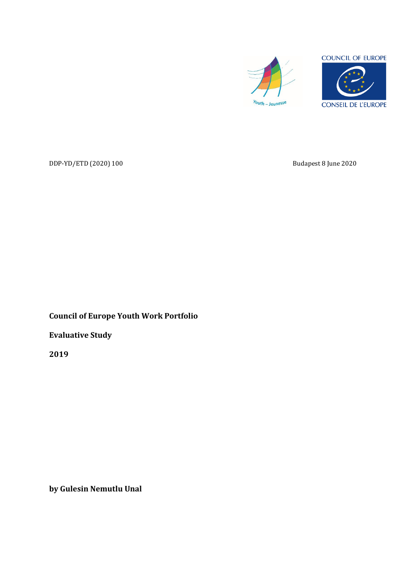



DDP-YD/ETD (2020) 100 Budapest 8 June 2020

**Council of Europe Youth Work Portfolio**

**Evaluative Study**

**2019**

**by Gulesin Nemutlu Unal**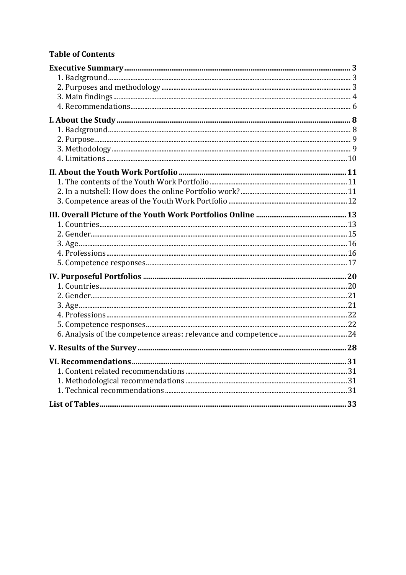# **Table of Contents**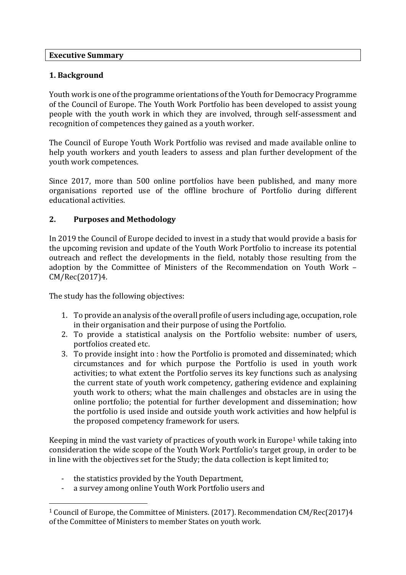#### **Executive Summary**

### **1. Background**

Youth work is one of the programme orientations of the Youth for Democracy Programme of the Council of Europe. The Youth Work Portfolio has been developed to assist young people with the youth work in which they are involved, through self-assessment and recognition of competences they gained as a youth worker.

The Council of Europe Youth Work Portfolio was revised and made available online to help youth workers and youth leaders to assess and plan further development of the youth work competences.

Since 2017, more than 500 online portfolios have been published, and many more organisations reported use of the offline brochure of Portfolio during different educational activities.

### **2. Purposes and Methodology**

In 2019 the Council of Europe decided to invest in a study that would provide a basis for the upcoming revision and update of the Youth Work Portfolio to increase its potential outreach and reflect the developments in the field, notably those resulting from the adoption by the Committee of Ministers of the Recommendation on Youth Work – CM/Rec(2017)4.

The study has the following objectives:

- 1. To provide an analysis of the overall profile of users including age, occupation, role in their organisation and their purpose of using the Portfolio.
- 2. To provide a statistical analysis on the Portfolio website: number of users, portfolios created etc.
- 3. To provide insight into : how the Portfolio is promoted and disseminated; which circumstances and for which purpose the Portfolio is used in youth work activities; to what extent the Portfolio serves its key functions such as analysing the current state of youth work competency, gathering evidence and explaining youth work to others; what the main challenges and obstacles are in using the online portfolio; the potential for further development and dissemination; how the portfolio is used inside and outside youth work activities and how helpful is the proposed competency framework for users.

Keeping in mind the vast variety of practices of youth work in Europe<sup>1</sup> while taking into consideration the wide scope of the Youth Work Portfolio's target group, in order to be in line with the objectives set for the Study; the data collection is kept limited to;

- the statistics provided by the Youth Department,
- a survey among online Youth Work Portfolio users and

<sup>1</sup> Council of Europe, the Committee of Ministers. (2017). Recommendation CM/Rec(2017)4 of the Committee of Ministers to member States on youth work.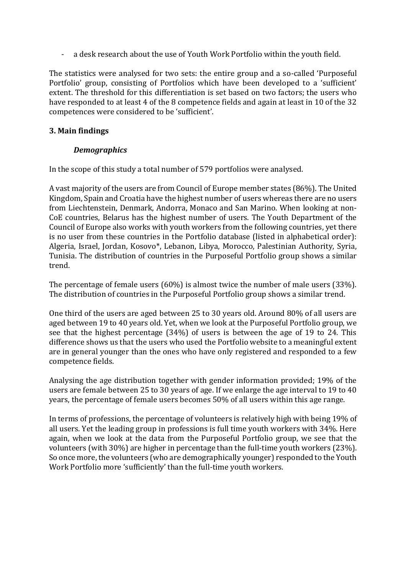- a desk research about the use of Youth Work Portfolio within the youth field.

The statistics were analysed for two sets: the entire group and a so-called 'Purposeful Portfolio' group, consisting of Portfolios which have been developed to a 'sufficient' extent. The threshold for this differentiation is set based on two factors; the users who have responded to at least 4 of the 8 competence fields and again at least in 10 of the 32 competences were considered to be 'sufficient'.

### **3. Main findings**

### *Demographics*

In the scope of this study a total number of 579 portfolios were analysed.

A vast majority of the users are from Council of Europe member states (86%). The United Kingdom, Spain and Croatia have the highest number of users whereas there are no users from Liechtenstein, Denmark, Andorra, Monaco and San Marino. When looking at non-CoE countries, Belarus has the highest number of users. The Youth Department of the Council of Europe also works with youth workers from the following countries, yet there is no user from these countries in the Portfolio database (listed in alphabetical order): Algeria, Israel, Jordan, Kosovo\*, Lebanon, Libya, Morocco, Palestinian Authority, Syria, Tunisia. The distribution of countries in the Purposeful Portfolio group shows a similar trend.

The percentage of female users (60%) is almost twice the number of male users (33%). The distribution of countries in the Purposeful Portfolio group shows a similar trend.

One third of the users are aged between 25 to 30 years old. Around 80% of all users are aged between 19 to 40 years old. Yet, when we look at the Purposeful Portfolio group, we see that the highest percentage (34%) of users is between the age of 19 to 24. This difference shows us that the users who used the Portfolio website to a meaningful extent are in general younger than the ones who have only registered and responded to a few competence fields.

Analysing the age distribution together with gender information provided; 19% of the users are female between 25 to 30 years of age. If we enlarge the age interval to 19 to 40 years, the percentage of female users becomes 50% of all users within this age range.

In terms of professions, the percentage of volunteers is relatively high with being 19% of all users. Yet the leading group in professions is full time youth workers with 34%. Here again, when we look at the data from the Purposeful Portfolio group, we see that the volunteers (with 30%) are higher in percentage than the full-time youth workers (23%). So once more, the volunteers (who are demographically younger) responded to the Youth Work Portfolio more 'sufficiently' than the full-time youth workers.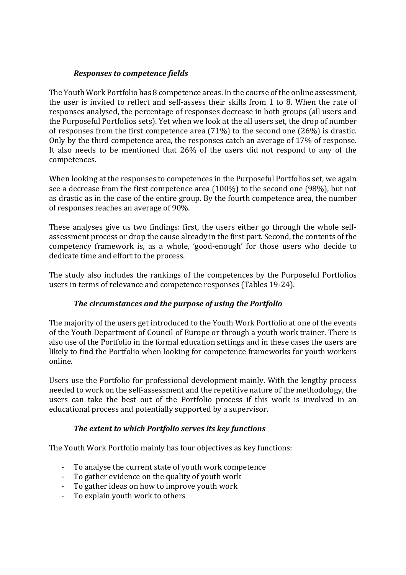### *Responses to competence fields*

The Youth Work Portfolio has 8 competence areas. In the course of the online assessment, the user is invited to reflect and self-assess their skills from 1 to 8. When the rate of responses analysed, the percentage of responses decrease in both groups (all users and the Purposeful Portfolios sets). Yet when we look at the all users set, the drop of number of responses from the first competence area (71%) to the second one (26%) is drastic. Only by the third competence area, the responses catch an average of 17% of response. It also needs to be mentioned that 26% of the users did not respond to any of the competences.

When looking at the responses to competences in the Purposeful Portfolios set, we again see a decrease from the first competence area (100%) to the second one (98%), but not as drastic as in the case of the entire group. By the fourth competence area, the number of responses reaches an average of 90%.

These analyses give us two findings: first, the users either go through the whole selfassessment process or drop the cause already in the first part. Second, the contents of the competency framework is, as a whole, 'good-enough' for those users who decide to dedicate time and effort to the process.

The study also includes the rankings of the competences by the Purposeful Portfolios users in terms of relevance and competence responses (Tables 19-24).

## *The circumstances and the purpose of using the Portfolio*

The majority of the users get introduced to the Youth Work Portfolio at one of the events of the Youth Department of Council of Europe or through a youth work trainer. There is also use of the Portfolio in the formal education settings and in these cases the users are likely to find the Portfolio when looking for competence frameworks for youth workers online.

Users use the Portfolio for professional development mainly. With the lengthy process needed to work on the self-assessment and the repetitive nature of the methodology, the users can take the best out of the Portfolio process if this work is involved in an educational process and potentially supported by a supervisor.

## *The extent to which Portfolio serves its key functions*

The Youth Work Portfolio mainly has four objectives as key functions:

- To analyse the current state of youth work competence
- To gather evidence on the quality of youth work
- To gather ideas on how to improve youth work
- To explain youth work to others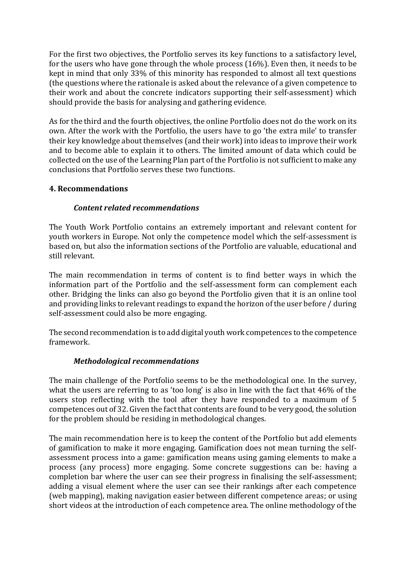For the first two objectives, the Portfolio serves its key functions to a satisfactory level, for the users who have gone through the whole process (16%). Even then, it needs to be kept in mind that only 33% of this minority has responded to almost all text questions (the questions where the rationale is asked about the relevance of a given competence to their work and about the concrete indicators supporting their self-assessment) which should provide the basis for analysing and gathering evidence.

As for the third and the fourth objectives, the online Portfolio does not do the work on its own. After the work with the Portfolio, the users have to go 'the extra mile' to transfer their key knowledge about themselves (and their work) into ideas to improve their work and to become able to explain it to others. The limited amount of data which could be collected on the use of the Learning Plan part of the Portfolio is not sufficient to make any conclusions that Portfolio serves these two functions.

### **4. Recommendations**

### *Content related recommendations*

The Youth Work Portfolio contains an extremely important and relevant content for youth workers in Europe. Not only the competence model which the self-assessment is based on, but also the information sections of the Portfolio are valuable, educational and still relevant.

The main recommendation in terms of content is to find better ways in which the information part of the Portfolio and the self-assessment form can complement each other. Bridging the links can also go beyond the Portfolio given that it is an online tool and providing links to relevant readings to expand the horizon of the user before / during self-assessment could also be more engaging.

The second recommendation is to add digital youth work competences to the competence framework.

#### *Methodological recommendations*

The main challenge of the Portfolio seems to be the methodological one. In the survey, what the users are referring to as 'too long' is also in line with the fact that 46% of the users stop reflecting with the tool after they have responded to a maximum of 5 competences out of 32. Given the fact that contents are found to be very good, the solution for the problem should be residing in methodological changes.

The main recommendation here is to keep the content of the Portfolio but add elements of gamification to make it more engaging. Gamification does not mean turning the selfassessment process into a game: gamification means using gaming elements to make a process (any process) more engaging. Some concrete suggestions can be: having a completion bar where the user can see their progress in finalising the self-assessment; adding a visual element where the user can see their rankings after each competence (web mapping), making navigation easier between different competence areas; or using short videos at the introduction of each competence area. The online methodology of the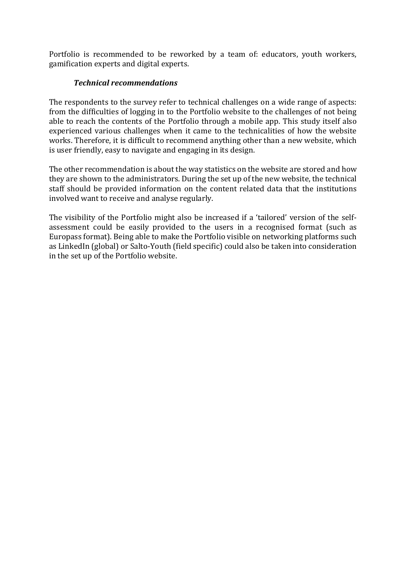Portfolio is recommended to be reworked by a team of: educators, youth workers, gamification experts and digital experts.

## *Technical recommendations*

The respondents to the survey refer to technical challenges on a wide range of aspects: from the difficulties of logging in to the Portfolio website to the challenges of not being able to reach the contents of the Portfolio through a mobile app. This study itself also experienced various challenges when it came to the technicalities of how the website works. Therefore, it is difficult to recommend anything other than a new website, which is user friendly, easy to navigate and engaging in its design.

The other recommendation is about the way statistics on the website are stored and how they are shown to the administrators. During the set up of the new website, the technical staff should be provided information on the content related data that the institutions involved want to receive and analyse regularly.

The visibility of the Portfolio might also be increased if a 'tailored' version of the selfassessment could be easily provided to the users in a recognised format (such as Europass format). Being able to make the Portfolio visible on networking platforms such as LinkedIn (global) or Salto-Youth (field specific) could also be taken into consideration in the set up of the Portfolio website.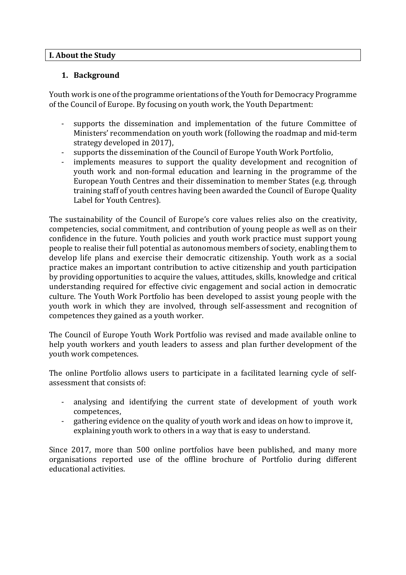#### **I. About the Study**

#### **1. Background**

Youth work is one of the programme orientations of the Youth for Democracy Programme of the Council of Europe. By focusing on youth work, the Youth Department:

- supports the dissemination and implementation of the future Committee of Ministers' recommendation on youth work (following the roadmap and mid-term strategy developed in 2017),
- supports the dissemination of the Council of Europe Youth Work Portfolio,
- implements measures to support the quality development and recognition of youth work and non-formal education and learning in the programme of the European Youth Centres and their dissemination to member States (e.g. through training staff of youth centres having been awarded the Council of Europe Quality Label for Youth Centres).

The sustainability of the Council of Europe's core values relies also on the creativity, competencies, social commitment, and contribution of young people as well as on their confidence in the future. Youth policies and youth work practice must support young people to realise their full potential as autonomous members of society, enabling them to develop life plans and exercise their democratic citizenship. Youth work as a social practice makes an important contribution to active citizenship and youth participation by providing opportunities to acquire the values, attitudes, skills, knowledge and critical understanding required for effective civic engagement and social action in democratic culture. The Youth Work Portfolio has been developed to assist young people with the youth work in which they are involved, through self-assessment and recognition of competences they gained as a youth worker.

The Council of Europe Youth Work Portfolio was revised and made available online to help youth workers and youth leaders to assess and plan further development of the youth work competences.

The online Portfolio allows users to participate in a facilitated learning cycle of selfassessment that consists of:

- analysing and identifying the current state of development of youth work competences,
- gathering evidence on the quality of youth work and ideas on how to improve it, explaining youth work to others in a way that is easy to understand.

Since 2017, more than 500 online portfolios have been published, and many more organisations reported use of the offline brochure of Portfolio during different educational activities.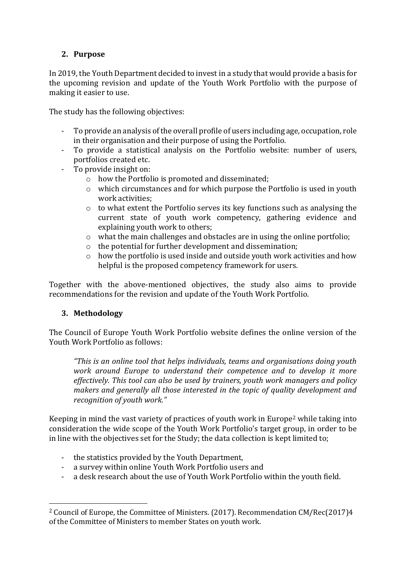## **2. Purpose**

In 2019, the Youth Department decided to invest in a study that would provide a basis for the upcoming revision and update of the Youth Work Portfolio with the purpose of making it easier to use.

The study has the following objectives:

- To provide an analysis of the overall profile of users including age, occupation, role in their organisation and their purpose of using the Portfolio.
- To provide a statistical analysis on the Portfolio website: number of users, portfolios created etc.
- To provide insight on:
	- o how the Portfolio is promoted and disseminated;
	- o which circumstances and for which purpose the Portfolio is used in youth work activities;
	- $\circ$  to what extent the Portfolio serves its key functions such as analysing the current state of youth work competency, gathering evidence and explaining youth work to others;
	- o what the main challenges and obstacles are in using the online portfolio;
	- o the potential for further development and dissemination;
	- o how the portfolio is used inside and outside youth work activities and how helpful is the proposed competency framework for users.

Together with the above-mentioned objectives, the study also aims to provide recommendations for the revision and update of the Youth Work Portfolio.

## **3. Methodology**

The Council of Europe Youth Work Portfolio website defines the online version of the Youth Work Portfolio as follows:

*"This is an online tool that helps individuals, teams and organisations doing youth work around Europe to understand their competence and to develop it more effectively. This tool can also be used by trainers, youth work managers and policy makers and generally all those interested in the topic of quality development and recognition of youth work."*

Keeping in mind the vast variety of practices of youth work in Europe<sup>2</sup> while taking into consideration the wide scope of the Youth Work Portfolio's target group, in order to be in line with the objectives set for the Study; the data collection is kept limited to;

- the statistics provided by the Youth Department,
- a survey within online Youth Work Portfolio users and
- a desk research about the use of Youth Work Portfolio within the youth field.

<sup>2</sup> Council of Europe, the Committee of Ministers. (2017). Recommendation CM/Rec(2017)4 of the Committee of Ministers to member States on youth work.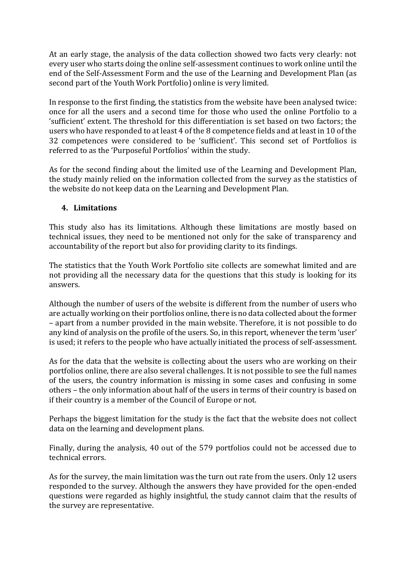At an early stage, the analysis of the data collection showed two facts very clearly: not every user who starts doing the online self-assessment continues to work online until the end of the Self-Assessment Form and the use of the Learning and Development Plan (as second part of the Youth Work Portfolio) online is very limited.

In response to the first finding, the statistics from the website have been analysed twice: once for all the users and a second time for those who used the online Portfolio to a 'sufficient' extent. The threshold for this differentiation is set based on two factors; the users who have responded to at least 4 of the 8 competence fields and at least in 10 of the 32 competences were considered to be 'sufficient'. This second set of Portfolios is referred to as the 'Purposeful Portfolios' within the study.

As for the second finding about the limited use of the Learning and Development Plan, the study mainly relied on the information collected from the survey as the statistics of the website do not keep data on the Learning and Development Plan.

### **4. Limitations**

This study also has its limitations. Although these limitations are mostly based on technical issues, they need to be mentioned not only for the sake of transparency and accountability of the report but also for providing clarity to its findings.

The statistics that the Youth Work Portfolio site collects are somewhat limited and are not providing all the necessary data for the questions that this study is looking for its answers.

Although the number of users of the website is different from the number of users who are actually working on their portfolios online, there is no data collected about the former – apart from a number provided in the main website. Therefore, it is not possible to do any kind of analysis on the profile of the users. So, in this report, whenever the term 'user' is used; it refers to the people who have actually initiated the process of self-assessment.

As for the data that the website is collecting about the users who are working on their portfolios online, there are also several challenges. It is not possible to see the full names of the users, the country information is missing in some cases and confusing in some others – the only information about half of the users in terms of their country is based on if their country is a member of the Council of Europe or not.

Perhaps the biggest limitation for the study is the fact that the website does not collect data on the learning and development plans.

Finally, during the analysis, 40 out of the 579 portfolios could not be accessed due to technical errors.

As for the survey, the main limitation was the turn out rate from the users. Only 12 users responded to the survey. Although the answers they have provided for the open-ended questions were regarded as highly insightful, the study cannot claim that the results of the survey are representative.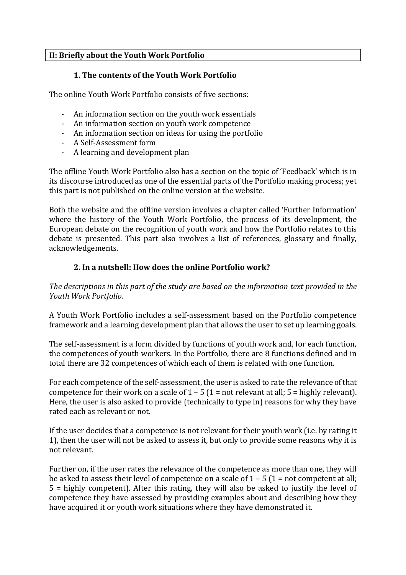## **II: Briefly about the Youth Work Portfolio**

## **1. The contents of the Youth Work Portfolio**

The online Youth Work Portfolio consists of five sections:

- An information section on the youth work essentials
- An information section on youth work competence
- An information section on ideas for using the portfolio
- A Self-Assessment form
- A learning and development plan

The offline Youth Work Portfolio also has a section on the topic of 'Feedback' which is in its discourse introduced as one of the essential parts of the Portfolio making process; yet this part is not published on the online version at the website.

Both the website and the offline version involves a chapter called 'Further Information' where the history of the Youth Work Portfolio, the process of its development, the European debate on the recognition of youth work and how the Portfolio relates to this debate is presented. This part also involves a list of references, glossary and finally, acknowledgements.

### **2. In a nutshell: How does the online Portfolio work?**

*The descriptions in this part of the study are based on the information text provided in the Youth Work Portfolio.*

A Youth Work Portfolio includes a self-assessment based on the Portfolio competence framework and a learning development plan that allows the user to set up learning goals.

The self-assessment is a form divided by functions of youth work and, for each function, the competences of youth workers. In the Portfolio, there are 8 functions defined and in total there are 32 competences of which each of them is related with one function.

For each competence of the self-assessment, the user is asked to rate the relevance of that competence for their work on a scale of  $1 - 5$  (1 = not relevant at all; 5 = highly relevant). Here, the user is also asked to provide (technically to type in) reasons for why they have rated each as relevant or not.

If the user decides that a competence is not relevant for their youth work (i.e. by rating it 1), then the user will not be asked to assess it, but only to provide some reasons why it is not relevant.

Further on, if the user rates the relevance of the competence as more than one, they will be asked to assess their level of competence on a scale of  $1 - 5$  ( $1 =$  not competent at all; 5 = highly competent). After this rating, they will also be asked to justify the level of competence they have assessed by providing examples about and describing how they have acquired it or youth work situations where they have demonstrated it.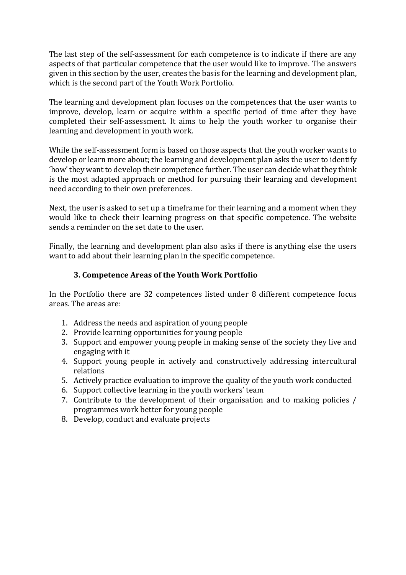The last step of the self-assessment for each competence is to indicate if there are any aspects of that particular competence that the user would like to improve. The answers given in this section by the user, creates the basis for the learning and development plan, which is the second part of the Youth Work Portfolio.

The learning and development plan focuses on the competences that the user wants to improve, develop, learn or acquire within a specific period of time after they have completed their self-assessment. It aims to help the youth worker to organise their learning and development in youth work.

While the self-assessment form is based on those aspects that the youth worker wants to develop or learn more about; the learning and development plan asks the user to identify 'how' they want to develop their competence further. The user can decide what they think is the most adapted approach or method for pursuing their learning and development need according to their own preferences.

Next, the user is asked to set up a timeframe for their learning and a moment when they would like to check their learning progress on that specific competence. The website sends a reminder on the set date to the user.

Finally, the learning and development plan also asks if there is anything else the users want to add about their learning plan in the specific competence.

## **3. Competence Areas of the Youth Work Portfolio**

In the Portfolio there are 32 competences listed under 8 different competence focus areas. The areas are:

- 1. Address the needs and aspiration of young people
- 2. Provide learning opportunities for young people
- 3. Support and empower young people in making sense of the society they live and engaging with it
- 4. Support young people in actively and constructively addressing intercultural relations
- 5. Actively practice evaluation to improve the quality of the youth work conducted
- 6. Support collective learning in the youth workers' team
- 7. Contribute to the development of their organisation and to making policies / programmes work better for young people
- 8. Develop, conduct and evaluate projects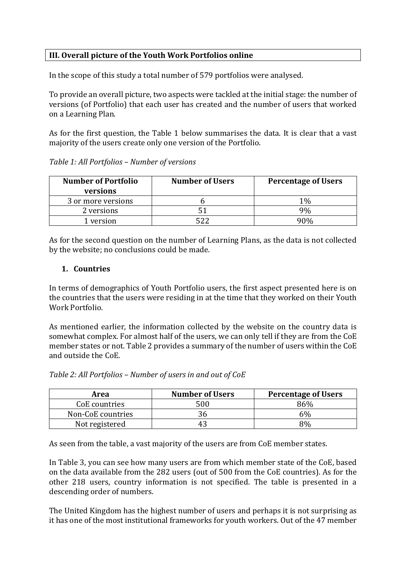## **III. Overall picture of the Youth Work Portfolios online**

In the scope of this study a total number of 579 portfolios were analysed.

To provide an overall picture, two aspects were tackled at the initial stage: the number of versions (of Portfolio) that each user has created and the number of users that worked on a Learning Plan.

As for the first question, the Table 1 below summarises the data. It is clear that a vast majority of the users create only one version of the Portfolio.

| <b>Number of Portfolio</b><br>versions | <b>Number of Users</b> | <b>Percentage of Users</b> |
|----------------------------------------|------------------------|----------------------------|
| 3 or more versions                     |                        | 1%                         |
| 2 versions                             |                        | 9%                         |
| version                                |                        |                            |

*Table 1: All Portfolios – Number of versions*

As for the second question on the number of Learning Plans, as the data is not collected by the website; no conclusions could be made.

#### **1. Countries**

In terms of demographics of Youth Portfolio users, the first aspect presented here is on the countries that the users were residing in at the time that they worked on their Youth Work Portfolio.

As mentioned earlier, the information collected by the website on the country data is somewhat complex. For almost half of the users, we can only tell if they are from the CoE member states or not. Table 2 provides a summary of the number of users within the CoE and outside the CoE.

| Table 2: All Portfolios – Number of users in and out of CoE |  |  |
|-------------------------------------------------------------|--|--|
|                                                             |  |  |

*Table 2: All Portfolios – Number of users in and out of CoE*

| Area              | <b>Number of Users</b> | <b>Percentage of Users</b> |
|-------------------|------------------------|----------------------------|
| CoE countries     | 500                    | 86%                        |
| Non-CoE countries |                        | 6%                         |
| Not registered    |                        | 8%                         |

As seen from the table, a vast majority of the users are from CoE member states.

In Table 3, you can see how many users are from which member state of the CoE, based on the data available from the 282 users (out of 500 from the CoE countries). As for the other 218 users, country information is not specified. The table is presented in a descending order of numbers.

The United Kingdom has the highest number of users and perhaps it is not surprising as it has one of the most institutional frameworks for youth workers. Out of the 47 member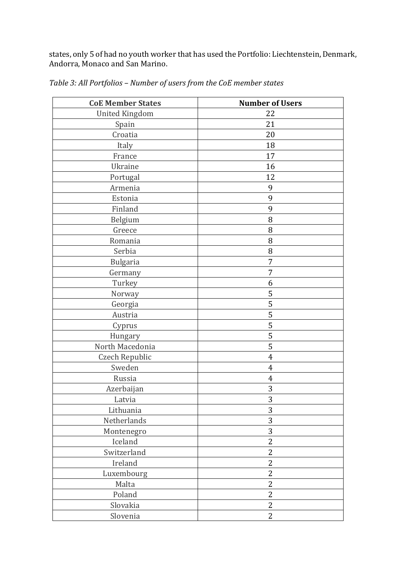states, only 5 of had no youth worker that has used the Portfolio: Liechtenstein, Denmark, Andorra, Monaco and San Marino.

| <b>CoE Member States</b> | <b>Number of Users</b> |
|--------------------------|------------------------|
| <b>United Kingdom</b>    | 22                     |
| Spain                    | 21                     |
| Croatia                  | 20                     |
| Italy                    | 18                     |
| France                   | 17                     |
| Ukraine                  | 16                     |
| Portugal                 | 12                     |
| Armenia                  | 9                      |
| Estonia                  | 9                      |
| Finland                  | 9                      |
| Belgium                  | 8                      |
| Greece                   | 8                      |
| Romania                  | 8                      |
| Serbia                   | 8                      |
| <b>Bulgaria</b>          | 7                      |
| Germany                  | 7                      |
| Turkey                   | 6                      |
| Norway                   | 5                      |
| Georgia                  | 5                      |
| Austria                  | 5                      |
| Cyprus                   | 5                      |
| Hungary                  | 5                      |
| North Macedonia          | 5                      |
| Czech Republic           | $\overline{4}$         |
| Sweden                   | $\overline{4}$         |
| Russia                   | $\overline{4}$         |
| Azerbaijan               | 3                      |
| Latvia                   | 3                      |
| Lithuania                | 3                      |
| Netherlands              | 3                      |
| Montenegro               | 3                      |
| Iceland                  | $\overline{2}$         |
| Switzerland              | $\overline{2}$         |
| Ireland                  | $\overline{2}$         |
| Luxembourg               | $\overline{2}$         |
| Malta                    | $\overline{2}$         |
| Poland                   | $\overline{2}$         |
| Slovakia                 | $\mathbf{2}$           |
| Slovenia                 | $\overline{2}$         |

*Table 3: All Portfolios – Number of users from the CoE member states*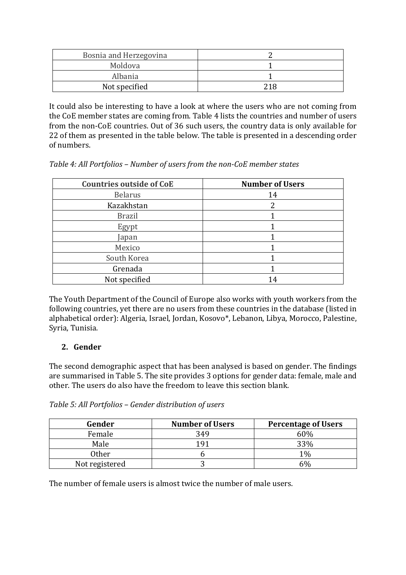| Bosnia and Herzegovina |     |
|------------------------|-----|
| Moldova                |     |
| Albania                |     |
| Not specified          | 71R |

It could also be interesting to have a look at where the users who are not coming from the CoE member states are coming from. Table 4 lists the countries and number of users from the non-CoE countries. Out of 36 such users, the country data is only available for 22 of them as presented in the table below. The table is presented in a descending order of numbers.

*Table 4: All Portfolios – Number of users from the non-CoE member states*

| <b>Countries outside of CoE</b> | <b>Number of Users</b> |
|---------------------------------|------------------------|
| <b>Belarus</b>                  | 14                     |
| Kazakhstan                      |                        |
| <b>Brazil</b>                   |                        |
| Egypt                           |                        |
| Japan                           |                        |
| Mexico                          |                        |
| South Korea                     |                        |
| Grenada                         |                        |
| Not specified                   | 14                     |

The Youth Department of the Council of Europe also works with youth workers from the following countries, yet there are no users from these countries in the database (listed in alphabetical order): Algeria, Israel, Jordan, Kosovo\*, Lebanon, Libya, Morocco, Palestine, Syria, Tunisia.

## **2. Gender**

The second demographic aspect that has been analysed is based on gender. The findings are summarised in Table 5. The site provides 3 options for gender data: female, male and other. The users do also have the freedom to leave this section blank.

| Gender         | <b>Number of Users</b> | <b>Percentage of Users</b> |
|----------------|------------------------|----------------------------|
| Female         | 349                    | 60%                        |
| Male           | 1 Q 1                  | 33%                        |
| <b>Other</b>   |                        | $1\%$                      |
| Not registered |                        | 6%                         |

*Table 5: All Portfolios – Gender distribution of users*

The number of female users is almost twice the number of male users.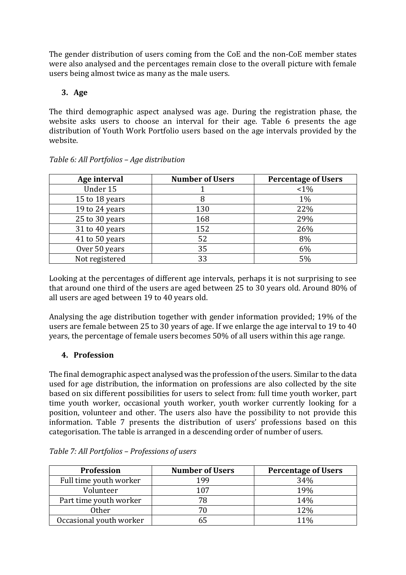The gender distribution of users coming from the CoE and the non-CoE member states were also analysed and the percentages remain close to the overall picture with female users being almost twice as many as the male users.

## **3. Age**

The third demographic aspect analysed was age. During the registration phase, the website asks users to choose an interval for their age. Table 6 presents the age distribution of Youth Work Portfolio users based on the age intervals provided by the website.

| Age interval   | <b>Number of Users</b> | <b>Percentage of Users</b> |
|----------------|------------------------|----------------------------|
| Under 15       |                        | $<1\%$                     |
| 15 to 18 years |                        | $1\%$                      |
| 19 to 24 years | 130                    | 22%                        |
| 25 to 30 years | 168                    | 29%                        |
| 31 to 40 years | 152                    | 26%                        |
| 41 to 50 years | 52                     | 8%                         |
| Over 50 years  | 35                     | 6%                         |
| Not registered | 33                     | 5%                         |

## *Table 6: All Portfolios – Age distribution*

Looking at the percentages of different age intervals, perhaps it is not surprising to see that around one third of the users are aged between 25 to 30 years old. Around 80% of all users are aged between 19 to 40 years old.

Analysing the age distribution together with gender information provided; 19% of the users are female between 25 to 30 years of age. If we enlarge the age interval to 19 to 40 years, the percentage of female users becomes 50% of all users within this age range.

# **4. Profession**

The final demographic aspect analysed was the profession of the users. Similar to the data used for age distribution, the information on professions are also collected by the site based on six different possibilities for users to select from: full time youth worker, part time youth worker, occasional youth worker, youth worker currently looking for a position, volunteer and other. The users also have the possibility to not provide this information. Table 7 presents the distribution of users' professions based on this categorisation. The table is arranged in a descending order of number of users.

| <b>Profession</b>       | <b>Number of Users</b> | <b>Percentage of Users</b> |
|-------------------------|------------------------|----------------------------|
| Full time youth worker  | 199                    | 34%                        |
| Volunteer               | 107                    | 19%                        |
| Part time youth worker  | 70                     | 14%                        |
| <b>Other</b>            |                        | 12%                        |
| Occasional youth worker |                        | 11%                        |

|  | Table 7: All Portfolios - Professions of users |  |  |
|--|------------------------------------------------|--|--|
|  |                                                |  |  |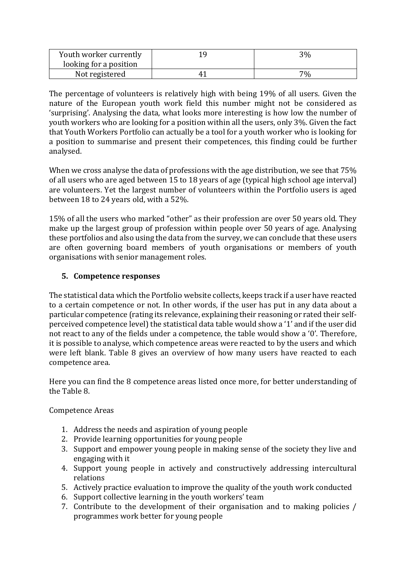| Youth worker currently | 3% |
|------------------------|----|
| looking for a position |    |
| Not registered         | 7% |

The percentage of volunteers is relatively high with being 19% of all users. Given the nature of the European youth work field this number might not be considered as 'surprising'. Analysing the data, what looks more interesting is how low the number of youth workers who are looking for a position within all the users, only 3%. Given the fact that Youth Workers Portfolio can actually be a tool for a youth worker who is looking for a position to summarise and present their competences, this finding could be further analysed.

When we cross analyse the data of professions with the age distribution, we see that 75% of all users who are aged between 15 to 18 years of age (typical high school age interval) are volunteers. Yet the largest number of volunteers within the Portfolio users is aged between 18 to 24 years old, with a 52%.

15% of all the users who marked "other" as their profession are over 50 years old. They make up the largest group of profession within people over 50 years of age. Analysing these portfolios and also using the data from the survey, we can conclude that these users are often governing board members of youth organisations or members of youth organisations with senior management roles.

## **5. Competence responses**

The statistical data which the Portfolio website collects, keeps track if a user have reacted to a certain competence or not. In other words, if the user has put in any data about a particular competence (rating its relevance, explaining their reasoning or rated their selfperceived competence level) the statistical data table would show a '1' and if the user did not react to any of the fields under a competence, the table would show a '0'. Therefore, it is possible to analyse, which competence areas were reacted to by the users and which were left blank. Table 8 gives an overview of how many users have reacted to each competence area.

Here you can find the 8 competence areas listed once more, for better understanding of the Table 8.

Competence Areas

- 1. Address the needs and aspiration of young people
- 2. Provide learning opportunities for young people
- 3. Support and empower young people in making sense of the society they live and engaging with it
- 4. Support young people in actively and constructively addressing intercultural relations
- 5. Actively practice evaluation to improve the quality of the youth work conducted
- 6. Support collective learning in the youth workers' team
- 7. Contribute to the development of their organisation and to making policies / programmes work better for young people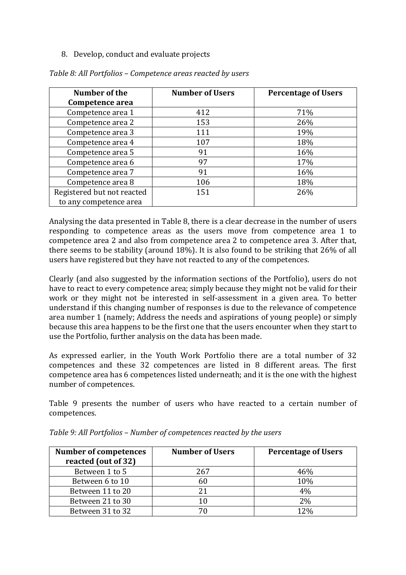8. Develop, conduct and evaluate projects

| Number of the              | <b>Number of Users</b> | <b>Percentage of Users</b> |
|----------------------------|------------------------|----------------------------|
| Competence area            |                        |                            |
| Competence area 1          | 412                    | 71%                        |
| Competence area 2          | 153                    | 26%                        |
| Competence area 3          | 111                    | 19%                        |
| Competence area 4          | 107                    | 18%                        |
| Competence area 5          | 91                     | 16%                        |
| Competence area 6          | 97                     | 17%                        |
| Competence area 7          | 91                     | 16%                        |
| Competence area 8          | 106                    | 18%                        |
| Registered but not reacted | 151                    | 26%                        |
| to any competence area     |                        |                            |

*Table 8: All Portfolios – Competence areas reacted by users*

Analysing the data presented in Table 8, there is a clear decrease in the number of users responding to competence areas as the users move from competence area 1 to competence area 2 and also from competence area 2 to competence area 3. After that, there seems to be stability (around 18%). It is also found to be striking that 26% of all users have registered but they have not reacted to any of the competences.

Clearly (and also suggested by the information sections of the Portfolio), users do not have to react to every competence area; simply because they might not be valid for their work or they might not be interested in self-assessment in a given area. To better understand if this changing number of responses is due to the relevance of competence area number 1 (namely; Address the needs and aspirations of young people) or simply because this area happens to be the first one that the users encounter when they start to use the Portfolio, further analysis on the data has been made.

As expressed earlier, in the Youth Work Portfolio there are a total number of 32 competences and these 32 competences are listed in 8 different areas. The first competence area has 6 competences listed underneath; and it is the one with the highest number of competences.

Table 9 presents the number of users who have reacted to a certain number of competences.

| <b>Number of competences</b><br>reacted (out of 32) | <b>Number of Users</b> | <b>Percentage of Users</b> |
|-----------------------------------------------------|------------------------|----------------------------|
| Between 1 to 5                                      | 267                    | 46%                        |
| Between 6 to 10                                     | 60                     | 10%                        |
| Between 11 to 20                                    |                        | 4%                         |
| Between 21 to 30                                    | 10                     | 2%                         |
| Between 31 to 32                                    |                        | 12%                        |

*Table 9: All Portfolios – Number of competences reacted by the users*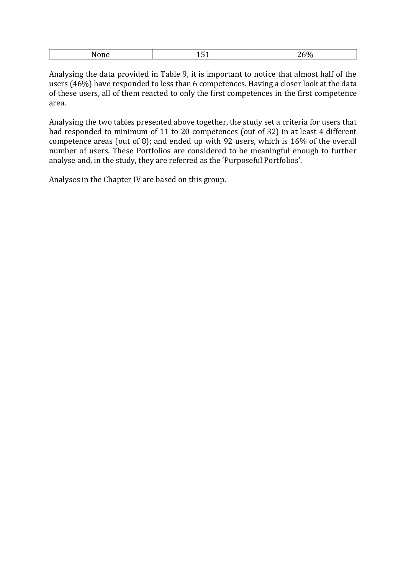|--|

Analysing the data provided in Table 9, it is important to notice that almost half of the users (46%) have responded to less than 6 competences. Having a closer look at the data of these users, all of them reacted to only the first competences in the first competence area.

Analysing the two tables presented above together, the study set a criteria for users that had responded to minimum of 11 to 20 competences (out of 32) in at least 4 different competence areas (out of 8); and ended up with 92 users, which is 16% of the overall number of users. These Portfolios are considered to be meaningful enough to further analyse and, in the study, they are referred as the 'Purposeful Portfolios'.

Analyses in the Chapter IV are based on this group.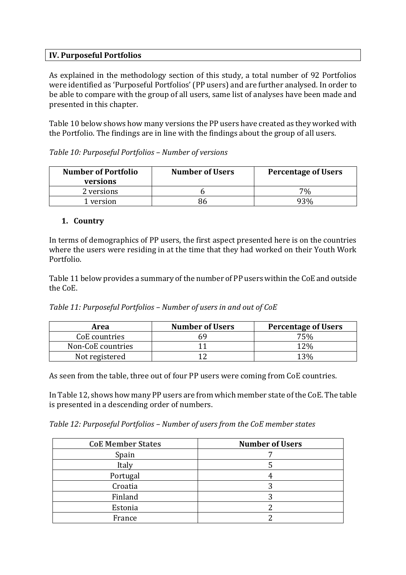#### **IV. Purposeful Portfolios**

As explained in the methodology section of this study, a total number of 92 Portfolios were identified as 'Purposeful Portfolios' (PP users) and are further analysed. In order to be able to compare with the group of all users, same list of analyses have been made and presented in this chapter.

Table 10 below shows how many versions the PP users have created as they worked with the Portfolio. The findings are in line with the findings about the group of all users.

| <b>Number of Portfolio</b><br>versions | <b>Number of Users</b> | <b>Percentage of Users</b> |
|----------------------------------------|------------------------|----------------------------|
| 2 versions                             |                        | 7%                         |
| version                                |                        |                            |

| Table 10: Purposeful Portfolios - Number of versions |  |  |
|------------------------------------------------------|--|--|
|------------------------------------------------------|--|--|

#### **1. Country**

In terms of demographics of PP users, the first aspect presented here is on the countries where the users were residing in at the time that they had worked on their Youth Work Portfolio.

Table 11 below provides a summary of the number of PP users within the CoE and outside the CoE.

| Area              | <b>Number of Users</b> | <b>Percentage of Users</b> |
|-------------------|------------------------|----------------------------|
| CoE countries     |                        | 75%                        |
| Non-CoE countries |                        | $12\%$                     |
| Not registered    |                        | $13\%$                     |

As seen from the table, three out of four PP users were coming from CoE countries.

In Table 12, shows how many PP users are from which member state of the CoE. The table is presented in a descending order of numbers.

*Table 12: Purposeful Portfolios – Number of users from the CoE member states*

| <b>CoE Member States</b> | <b>Number of Users</b> |
|--------------------------|------------------------|
| Spain                    |                        |
| Italy                    |                        |
| Portugal                 |                        |
| Croatia                  |                        |
| Finland                  |                        |
| Estonia                  |                        |
| France                   |                        |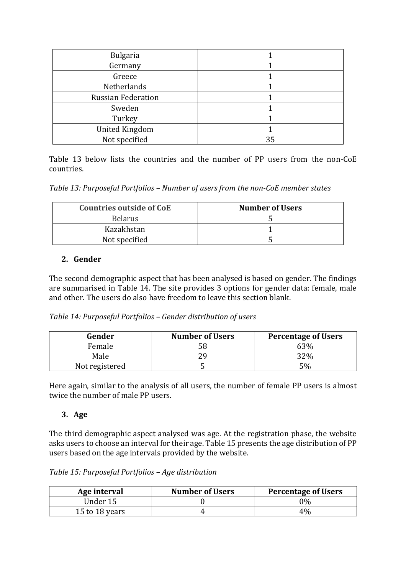| <b>Bulgaria</b>           |    |
|---------------------------|----|
| Germany                   |    |
| Greece                    |    |
| Netherlands               |    |
| <b>Russian Federation</b> |    |
| Sweden                    |    |
| Turkey                    |    |
| <b>United Kingdom</b>     |    |
| Not specified             | 35 |

Table 13 below lists the countries and the number of PP users from the non-CoE countries.

*Table 13: Purposeful Portfolios – Number of users from the non-CoE member states*

| <b>Countries outside of CoE</b> | <b>Number of Users</b> |
|---------------------------------|------------------------|
| <b>Belarus</b>                  |                        |
| Kazakhstan                      |                        |
| Not specified                   |                        |

#### **2. Gender**

The second demographic aspect that has been analysed is based on gender. The findings are summarised in Table 14. The site provides 3 options for gender data: female, male and other. The users do also have freedom to leave this section blank.

|  |  | Table 14: Purposeful Portfolios - Gender distribution of users |
|--|--|----------------------------------------------------------------|
|--|--|----------------------------------------------------------------|

| Gender         | <b>Number of Users</b> | <b>Percentage of Users</b> |
|----------------|------------------------|----------------------------|
| Female         |                        | 63%                        |
| Male           |                        | 32%                        |
| Not registered |                        | 5%                         |

Here again, similar to the analysis of all users, the number of female PP users is almost twice the number of male PP users.

#### **3. Age**

The third demographic aspect analysed was age. At the registration phase, the website asks users to choose an interval for their age. Table 15 presents the age distribution of PP users based on the age intervals provided by the website.

*Table 15: Purposeful Portfolios – Age distribution*

| Age interval   | <b>Number of Users</b> | <b>Percentage of Users</b> |
|----------------|------------------------|----------------------------|
| Under 15       |                        | ን%                         |
| 15 to 18 years |                        | 4%                         |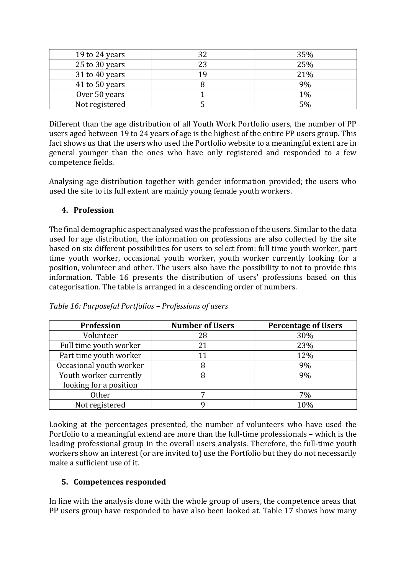| 19 to 24 years | 35% |
|----------------|-----|
| 25 to 30 years | 25% |
| 31 to 40 years | 21% |
| 41 to 50 years | 9%  |
| Over 50 years  | 1%  |
| Not registered | 5%  |

Different than the age distribution of all Youth Work Portfolio users, the number of PP users aged between 19 to 24 years of age is the highest of the entire PP users group. This fact shows us that the users who used the Portfolio website to a meaningful extent are in general younger than the ones who have only registered and responded to a few competence fields.

Analysing age distribution together with gender information provided; the users who used the site to its full extent are mainly young female youth workers.

### **4. Profession**

The final demographic aspect analysed was the profession of the users. Similar to the data used for age distribution, the information on professions are also collected by the site based on six different possibilities for users to select from: full time youth worker, part time youth worker, occasional youth worker, youth worker currently looking for a position, volunteer and other. The users also have the possibility to not to provide this information. Table 16 presents the distribution of users' professions based on this categorisation. The table is arranged in a descending order of numbers.

| <b>Profession</b>       | <b>Number of Users</b> | <b>Percentage of Users</b> |
|-------------------------|------------------------|----------------------------|
| Volunteer               | 28                     | 30%                        |
| Full time youth worker  | 21                     | 23%                        |
| Part time youth worker  | 11                     | 12%                        |
| Occasional youth worker |                        | 9%                         |
| Youth worker currently  |                        | 9%                         |
| looking for a position  |                        |                            |
| <b>Other</b>            |                        | 7%                         |
| Not registered          |                        | 10%                        |

*Table 16: Purposeful Portfolios – Professions of users*

Looking at the percentages presented, the number of volunteers who have used the Portfolio to a meaningful extend are more than the full-time professionals – which is the leading professional group in the overall users analysis. Therefore, the full-time youth workers show an interest (or are invited to) use the Portfolio but they do not necessarily make a sufficient use of it.

## **5. Competences responded**

In line with the analysis done with the whole group of users, the competence areas that PP users group have responded to have also been looked at. Table 17 shows how many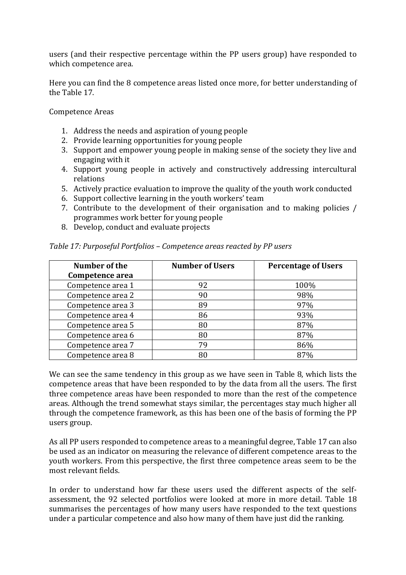users (and their respective percentage within the PP users group) have responded to which competence area.

Here you can find the 8 competence areas listed once more, for better understanding of the Table 17.

Competence Areas

- 1. Address the needs and aspiration of young people
- 2. Provide learning opportunities for young people
- 3. Support and empower young people in making sense of the society they live and engaging with it
- 4. Support young people in actively and constructively addressing intercultural relations
- 5. Actively practice evaluation to improve the quality of the youth work conducted
- 6. Support collective learning in the youth workers' team
- 7. Contribute to the development of their organisation and to making policies / programmes work better for young people
- 8. Develop, conduct and evaluate projects

| Number of the     | <b>Number of Users</b> | <b>Percentage of Users</b> |
|-------------------|------------------------|----------------------------|
| Competence area   |                        |                            |
| Competence area 1 | 92                     | 100%                       |
| Competence area 2 | 90                     | 98%                        |
| Competence area 3 | 89                     | 97%                        |
| Competence area 4 | 86                     | 93%                        |
| Competence area 5 | 80                     | 87%                        |
| Competence area 6 | 80                     | 87%                        |
| Competence area 7 | 79                     | 86%                        |
| Competence area 8 |                        | 87%                        |

*Table 17: Purposeful Portfolios – Competence areas reacted by PP users*

We can see the same tendency in this group as we have seen in Table 8, which lists the competence areas that have been responded to by the data from all the users. The first three competence areas have been responded to more than the rest of the competence areas. Although the trend somewhat stays similar, the percentages stay much higher all through the competence framework, as this has been one of the basis of forming the PP users group.

As all PP users responded to competence areas to a meaningful degree, Table 17 can also be used as an indicator on measuring the relevance of different competence areas to the youth workers. From this perspective, the first three competence areas seem to be the most relevant fields.

In order to understand how far these users used the different aspects of the selfassessment, the 92 selected portfolios were looked at more in more detail. Table 18 summarises the percentages of how many users have responded to the text questions under a particular competence and also how many of them have just did the ranking.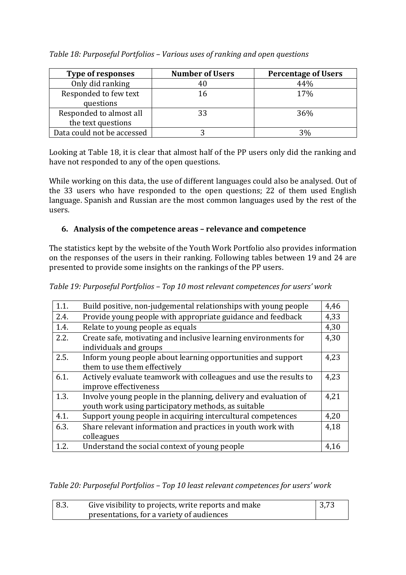| <b>Type of responses</b>   | <b>Number of Users</b> | <b>Percentage of Users</b> |
|----------------------------|------------------------|----------------------------|
| Only did ranking           |                        | 44%                        |
| Responded to few text      | 16                     | 17%                        |
| questions                  |                        |                            |
| Responded to almost all    | 33                     | 36%                        |
| the text questions         |                        |                            |
| Data could not be accessed |                        | 3%                         |

*Table 18: Purposeful Portfolios – Various uses of ranking and open questions* 

Looking at Table 18, it is clear that almost half of the PP users only did the ranking and have not responded to any of the open questions.

While working on this data, the use of different languages could also be analysed. Out of the 33 users who have responded to the open questions; 22 of them used English language. Spanish and Russian are the most common languages used by the rest of the users.

## **6. Analysis of the competence areas – relevance and competence**

The statistics kept by the website of the Youth Work Portfolio also provides information on the responses of the users in their ranking. Following tables between 19 and 24 are presented to provide some insights on the rankings of the PP users.

*Table 19: Purposeful Portfolios – Top 10 most relevant competences for users' work*

| 1.1. | Build positive, non-judgemental relationships with young people                                                         | 4,46 |
|------|-------------------------------------------------------------------------------------------------------------------------|------|
| 2.4. | Provide young people with appropriate guidance and feedback                                                             | 4,33 |
| 1.4. | Relate to young people as equals                                                                                        | 4,30 |
| 2.2. | Create safe, motivating and inclusive learning environments for<br>individuals and groups                               | 4,30 |
| 2.5. | Inform young people about learning opportunities and support<br>them to use them effectively                            | 4,23 |
| 6.1. | Actively evaluate teamwork with colleagues and use the results to<br>improve effectiveness                              | 4,23 |
| 1.3. | Involve young people in the planning, delivery and evaluation of<br>youth work using participatory methods, as suitable | 4,21 |
| 4.1. | Support young people in acquiring intercultural competences                                                             | 4,20 |
| 6.3. | Share relevant information and practices in youth work with<br>colleagues                                               | 4,18 |
| 1.2. | Understand the social context of young people                                                                           | 4,16 |

*Table 20: Purposeful Portfolios – Top 10 least relevant competences for users' work*

| $\vert$ 8.3. | Give visibility to projects, write reports and make | 3,73 |
|--------------|-----------------------------------------------------|------|
|              | presentations, for a variety of audiences           |      |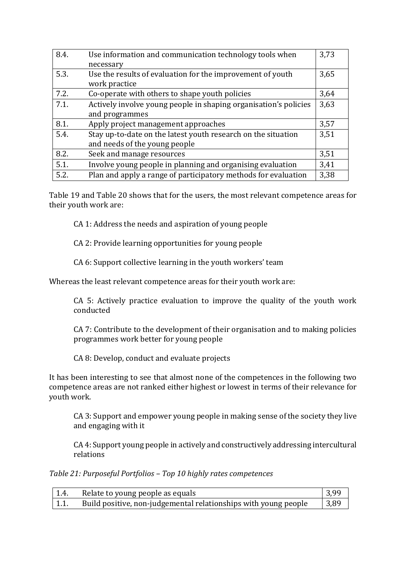| 8.4. | Use information and communication technology tools when          | 3,73 |
|------|------------------------------------------------------------------|------|
|      | necessary                                                        |      |
| 5.3. | Use the results of evaluation for the improvement of youth       | 3,65 |
|      | work practice                                                    |      |
| 7.2. | Co-operate with others to shape youth policies                   | 3,64 |
| 7.1. | Actively involve young people in shaping organisation's policies | 3,63 |
|      | and programmes                                                   |      |
| 8.1. | Apply project management approaches                              | 3,57 |
| 5.4. | Stay up-to-date on the latest youth research on the situation    | 3,51 |
|      | and needs of the young people                                    |      |
| 8.2. | Seek and manage resources                                        | 3,51 |
| 5.1. | Involve young people in planning and organising evaluation       | 3,41 |
| 5.2. | Plan and apply a range of participatory methods for evaluation   | 3,38 |

Table 19 and Table 20 shows that for the users, the most relevant competence areas for their youth work are:

CA 1: Address the needs and aspiration of young people

CA 2: Provide learning opportunities for young people

CA 6: Support collective learning in the youth workers' team

Whereas the least relevant competence areas for their youth work are:

CA 5: Actively practice evaluation to improve the quality of the youth work conducted

CA 7: Contribute to the development of their organisation and to making policies programmes work better for young people

CA 8: Develop, conduct and evaluate projects

It has been interesting to see that almost none of the competences in the following two competence areas are not ranked either highest or lowest in terms of their relevance for youth work.

CA 3: Support and empower young people in making sense of the society they live and engaging with it

CA 4: Support young people in actively and constructively addressing intercultural relations

*Table 21: Purposeful Portfolios – Top 10 highly rates competences*

| $\pm 1.4.$ | Relate to young people as equals                                | 3,99           |
|------------|-----------------------------------------------------------------|----------------|
| $\pm 1.1.$ | Build positive, non-judgemental relationships with young people | $ 3,89\rangle$ |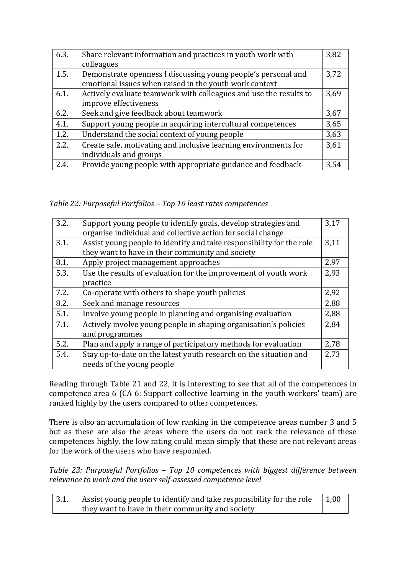| 6.3. | Share relevant information and practices in youth work with<br>colleagues                                               | 3,82 |
|------|-------------------------------------------------------------------------------------------------------------------------|------|
| 1.5. | Demonstrate openness I discussing young people's personal and<br>emotional issues when raised in the youth work context | 3,72 |
| 6.1. | Actively evaluate teamwork with colleagues and use the results to<br>improve effectiveness                              | 3,69 |
| 6.2. | Seek and give feedback about teamwork                                                                                   | 3,67 |
| 4.1. | Support young people in acquiring intercultural competences                                                             | 3,65 |
| 1.2. | Understand the social context of young people                                                                           | 3,63 |
| 2.2. | Create safe, motivating and inclusive learning environments for<br>individuals and groups                               | 3,61 |
| 2.4. | Provide young people with appropriate guidance and feedback                                                             | 3.54 |

*Table 22: Purposeful Portfolios – Top 10 least rates competences*

| 3.2. | Support young people to identify goals, develop strategies and       | 3,17 |
|------|----------------------------------------------------------------------|------|
|      | organise individual and collective action for social change          |      |
| 3.1. | Assist young people to identify and take responsibility for the role | 3,11 |
|      | they want to have in their community and society                     |      |
| 8.1. | Apply project management approaches                                  | 2,97 |
| 5.3. | Use the results of evaluation for the improvement of youth work      | 2,93 |
|      | practice                                                             |      |
| 7.2. | Co-operate with others to shape youth policies                       | 2,92 |
| 8.2. | Seek and manage resources                                            | 2,88 |
| 5.1. | Involve young people in planning and organising evaluation           | 2,88 |
| 7.1. | Actively involve young people in shaping organisation's policies     | 2,84 |
|      | and programmes                                                       |      |
| 5.2. | Plan and apply a range of participatory methods for evaluation       | 2,78 |
| 5.4. | Stay up-to-date on the latest youth research on the situation and    | 2,73 |
|      | needs of the young people                                            |      |

Reading through Table 21 and 22, it is interesting to see that all of the competences in competence area 6 (CA 6: Support collective learning in the youth workers' team) are ranked highly by the users compared to other competences.

There is also an accumulation of low ranking in the competence areas number 3 and 5 but as these are also the areas where the users do not rank the relevance of these competences highly, the low rating could mean simply that these are not relevant areas for the work of the users who have responded.

*Table 23: Purposeful Portfolios – Top 10 competences with biggest difference between relevance to work and the users self-assessed competence level*

| 3.1. | Assist young people to identify and take responsibility for the role | $\vert 1,00 \vert$ |
|------|----------------------------------------------------------------------|--------------------|
|      | they want to have in their community and society                     |                    |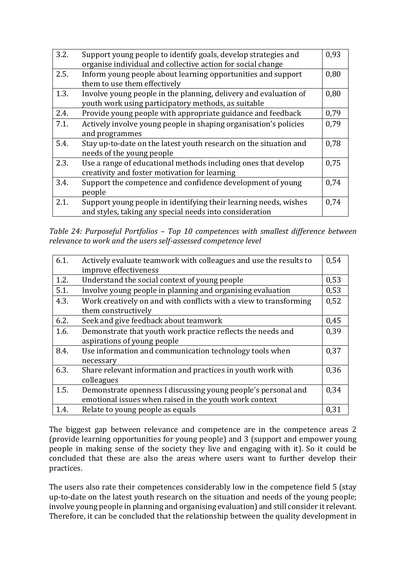| 3.2. | Support young people to identify goals, develop strategies and<br>organise individual and collective action for social change | 0,93 |
|------|-------------------------------------------------------------------------------------------------------------------------------|------|
| 2.5. | Inform young people about learning opportunities and support<br>them to use them effectively                                  | 0,80 |
| 1.3. | Involve young people in the planning, delivery and evaluation of<br>youth work using participatory methods, as suitable       | 0,80 |
| 2.4. | Provide young people with appropriate guidance and feedback                                                                   | 0,79 |
| 7.1. | Actively involve young people in shaping organisation's policies<br>and programmes                                            | 0.79 |
| 5.4. | Stay up-to-date on the latest youth research on the situation and<br>needs of the young people                                | 0.78 |
| 2.3. | Use a range of educational methods including ones that develop<br>creativity and foster motivation for learning               | 0.75 |
| 3.4. | Support the competence and confidence development of young<br>people                                                          | 0.74 |
| 2.1. | Support young people in identifying their learning needs, wishes<br>and styles, taking any special needs into consideration   | 0.74 |

*Table 24: Purposeful Portfolios – Top 10 competences with smallest difference between relevance to work and the users self-assessed competence level*

| 6.1. | Actively evaluate teamwork with colleagues and use the results to | 0,54 |
|------|-------------------------------------------------------------------|------|
|      | improve effectiveness                                             |      |
| 1.2. | Understand the social context of young people                     | 0,53 |
| 5.1. | Involve young people in planning and organising evaluation        | 0,53 |
| 4.3. | Work creatively on and with conflicts with a view to transforming | 0,52 |
|      | them constructively                                               |      |
| 6.2. | Seek and give feedback about teamwork                             | 0,45 |
| 1.6. | Demonstrate that youth work practice reflects the needs and       | 0.39 |
|      | aspirations of young people                                       |      |
| 8.4. | Use information and communication technology tools when           | 0,37 |
|      | necessary                                                         |      |
| 6.3. | Share relevant information and practices in youth work with       | 0,36 |
|      | colleagues                                                        |      |
| 1.5. | Demonstrate openness I discussing young people's personal and     | 0.34 |
|      | emotional issues when raised in the youth work context            |      |
| 1.4. | Relate to young people as equals                                  | 0,31 |

The biggest gap between relevance and competence are in the competence areas 2 (provide learning opportunities for young people) and 3 (support and empower young people in making sense of the society they live and engaging with it). So it could be concluded that these are also the areas where users want to further develop their practices.

The users also rate their competences considerably low in the competence field 5 (stay up-to-date on the latest youth research on the situation and needs of the young people; involve young people in planning and organising evaluation) and still consider it relevant. Therefore, it can be concluded that the relationship between the quality development in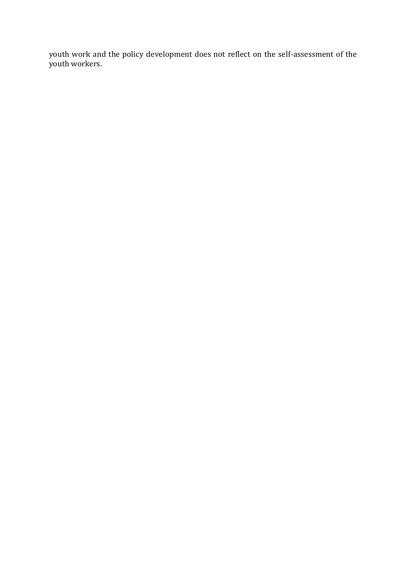youth work and the policy development does not reflect on the self-assessment of the youth workers.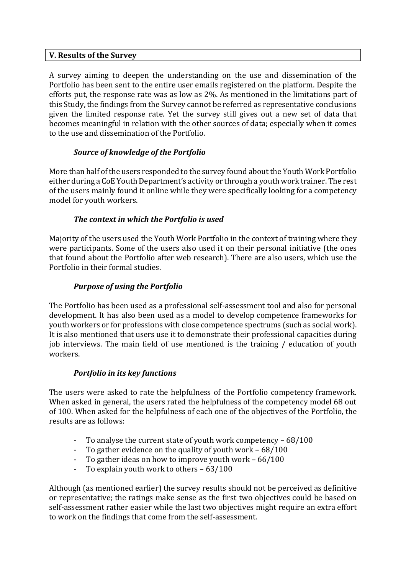#### **V. Results of the Survey**

A survey aiming to deepen the understanding on the use and dissemination of the Portfolio has been sent to the entire user emails registered on the platform. Despite the efforts put, the response rate was as low as 2%. As mentioned in the limitations part of this Study, the findings from the Survey cannot be referred as representative conclusions given the limited response rate. Yet the survey still gives out a new set of data that becomes meaningful in relation with the other sources of data; especially when it comes to the use and dissemination of the Portfolio.

## *Source of knowledge of the Portfolio*

More than half of the users responded to the survey found about the Youth Work Portfolio either during a CoE Youth Department's activity or through a youth work trainer. The rest of the users mainly found it online while they were specifically looking for a competency model for youth workers.

### *The context in which the Portfolio is used*

Majority of the users used the Youth Work Portfolio in the context of training where they were participants. Some of the users also used it on their personal initiative (the ones that found about the Portfolio after web research). There are also users, which use the Portfolio in their formal studies.

### *Purpose of using the Portfolio*

The Portfolio has been used as a professional self-assessment tool and also for personal development. It has also been used as a model to develop competence frameworks for youth workers or for professions with close competence spectrums (such as social work). It is also mentioned that users use it to demonstrate their professional capacities during job interviews. The main field of use mentioned is the training / education of youth workers.

#### *Portfolio in its key functions*

The users were asked to rate the helpfulness of the Portfolio competency framework. When asked in general, the users rated the helpfulness of the competency model 68 out of 100. When asked for the helpfulness of each one of the objectives of the Portfolio, the results are as follows:

- To analyse the current state of youth work competency  $-68/100$
- To gather evidence on the quality of youth work 68/100
- To gather ideas on how to improve youth work  $-66/100$
- To explain youth work to others 63/100

Although (as mentioned earlier) the survey results should not be perceived as definitive or representative; the ratings make sense as the first two objectives could be based on self-assessment rather easier while the last two objectives might require an extra effort to work on the findings that come from the self-assessment.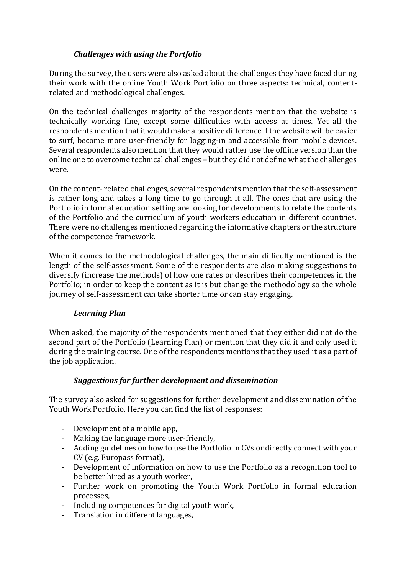## *Challenges with using the Portfolio*

During the survey, the users were also asked about the challenges they have faced during their work with the online Youth Work Portfolio on three aspects: technical, contentrelated and methodological challenges.

On the technical challenges majority of the respondents mention that the website is technically working fine, except some difficulties with access at times. Yet all the respondents mention that it would make a positive difference if the website will be easier to surf, become more user-friendly for logging-in and accessible from mobile devices. Several respondents also mention that they would rather use the offline version than the online one to overcome technical challenges – but they did not define what the challenges were.

On the content- related challenges, several respondents mention that the self-assessment is rather long and takes a long time to go through it all. The ones that are using the Portfolio in formal education setting are looking for developments to relate the contents of the Portfolio and the curriculum of youth workers education in different countries. There were no challenges mentioned regarding the informative chapters or the structure of the competence framework.

When it comes to the methodological challenges, the main difficulty mentioned is the length of the self-assessment. Some of the respondents are also making suggestions to diversify (increase the methods) of how one rates or describes their competences in the Portfolio; in order to keep the content as it is but change the methodology so the whole journey of self-assessment can take shorter time or can stay engaging.

## *Learning Plan*

When asked, the majority of the respondents mentioned that they either did not do the second part of the Portfolio (Learning Plan) or mention that they did it and only used it during the training course. One of the respondents mentions that they used it as a part of the job application.

#### *Suggestions for further development and dissemination*

The survey also asked for suggestions for further development and dissemination of the Youth Work Portfolio. Here you can find the list of responses:

- Development of a mobile app,
- Making the language more user-friendly,
- Adding guidelines on how to use the Portfolio in CVs or directly connect with your CV (e.g. Europass format),
- Development of information on how to use the Portfolio as a recognition tool to be better hired as a youth worker,
- Further work on promoting the Youth Work Portfolio in formal education processes,
- Including competences for digital youth work,
- Translation in different languages,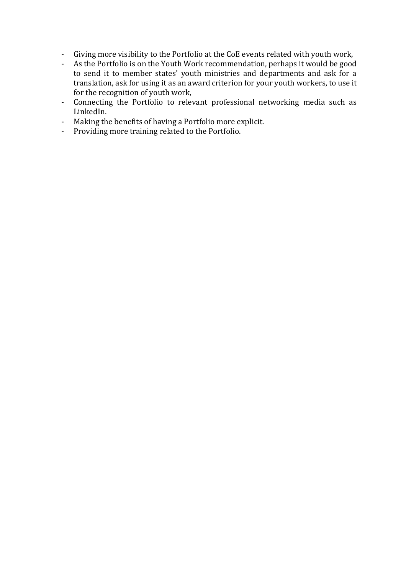- Giving more visibility to the Portfolio at the CoE events related with youth work,
- As the Portfolio is on the Youth Work recommendation, perhaps it would be good to send it to member states' youth ministries and departments and ask for a translation, ask for using it as an award criterion for your youth workers, to use it for the recognition of youth work,
- Connecting the Portfolio to relevant professional networking media such as LinkedIn.
- Making the benefits of having a Portfolio more explicit.
- Providing more training related to the Portfolio.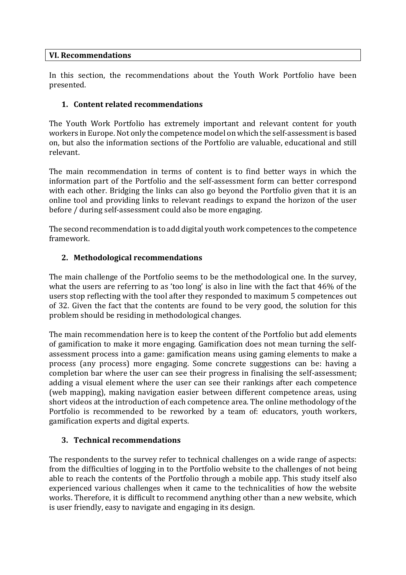#### **VI. Recommendations**

In this section, the recommendations about the Youth Work Portfolio have been presented.

### **1. Content related recommendations**

The Youth Work Portfolio has extremely important and relevant content for youth workers in Europe. Not only the competence model on which the self-assessment is based on, but also the information sections of the Portfolio are valuable, educational and still relevant.

The main recommendation in terms of content is to find better ways in which the information part of the Portfolio and the self-assessment form can better correspond with each other. Bridging the links can also go beyond the Portfolio given that it is an online tool and providing links to relevant readings to expand the horizon of the user before / during self-assessment could also be more engaging.

The second recommendation is to add digital youth work competences to the competence framework.

#### **2. Methodological recommendations**

The main challenge of the Portfolio seems to be the methodological one. In the survey, what the users are referring to as 'too long' is also in line with the fact that 46% of the users stop reflecting with the tool after they responded to maximum 5 competences out of 32. Given the fact that the contents are found to be very good, the solution for this problem should be residing in methodological changes.

The main recommendation here is to keep the content of the Portfolio but add elements of gamification to make it more engaging. Gamification does not mean turning the selfassessment process into a game: gamification means using gaming elements to make a process (any process) more engaging. Some concrete suggestions can be: having a completion bar where the user can see their progress in finalising the self-assessment; adding a visual element where the user can see their rankings after each competence (web mapping), making navigation easier between different competence areas, using short videos at the introduction of each competence area. The online methodology of the Portfolio is recommended to be reworked by a team of: educators, youth workers, gamification experts and digital experts.

#### **3. Technical recommendations**

The respondents to the survey refer to technical challenges on a wide range of aspects: from the difficulties of logging in to the Portfolio website to the challenges of not being able to reach the contents of the Portfolio through a mobile app. This study itself also experienced various challenges when it came to the technicalities of how the website works. Therefore, it is difficult to recommend anything other than a new website, which is user friendly, easy to navigate and engaging in its design.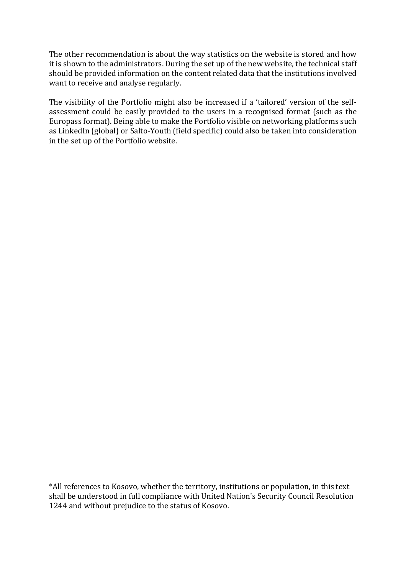The other recommendation is about the way statistics on the website is stored and how it is shown to the administrators. During the set up of the new website, the technical staff should be provided information on the content related data that the institutions involved want to receive and analyse regularly.

The visibility of the Portfolio might also be increased if a 'tailored' version of the selfassessment could be easily provided to the users in a recognised format (such as the Europass format). Being able to make the Portfolio visible on networking platforms such as LinkedIn (global) or Salto-Youth (field specific) could also be taken into consideration in the set up of the Portfolio website.

\*All references to Kosovo, whether the territory, institutions or population, in this text shall be understood in full compliance with United Nation's Security Council Resolution 1244 and without prejudice to the status of Kosovo.